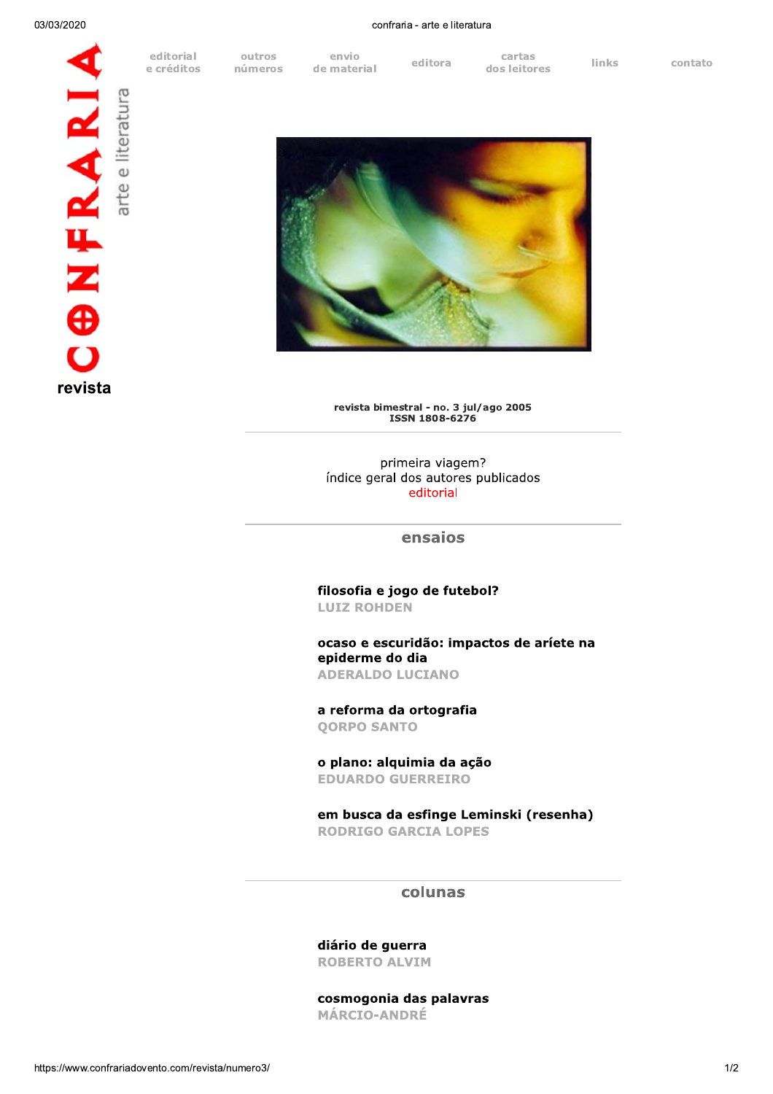**ONFRARI** revista

editorial e créditos

envio

confraria - arte e literatura

outros cartas editora **links** contato números de material dos leitores



revista bimestral - no. 3 jul/ago 2005 ISSN 1808-6276

primeira viagem? índice geral dos autores publicados editorial

ensaios

filosofia e jogo de futebol? **LUIZ ROHDEN** 

ocaso e escuridão: impactos de aríete na epiderme do dia **ADERALDO LUCIANO** 

a reforma da ortografia **QORPO SANTO** 

o plano: alquimia da ação **EDUARDO GUERREIRO** 

em busca da esfinge Leminski (resenha) **RODRIGO GARCIA LOPES** 

## colunas

diário de guerra **ROBERTO ALVIM** 

cosmogonia das palavras **MÁRCIO-ANDRÉ**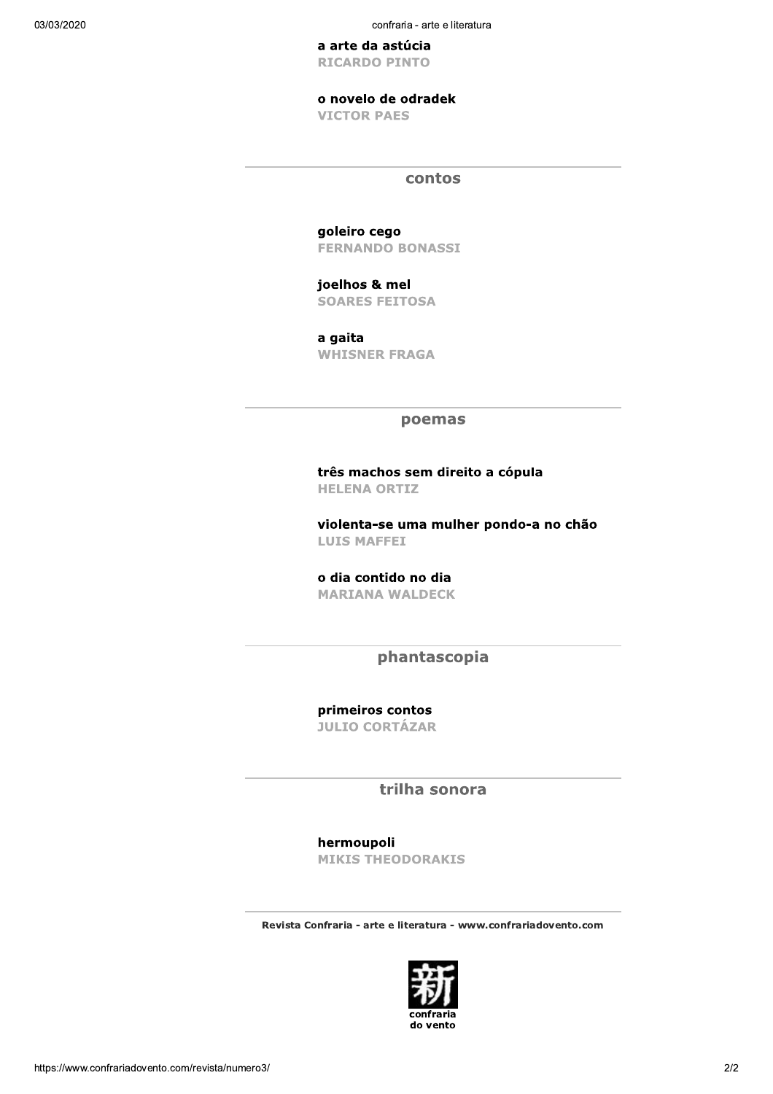confraria - arte e literatura

a arte da astúcia **RICARDO PINTO** 

o novelo de odradek

**VICTOR PAES** 

contos

goleiro cego **FERNANDO BONASSI** 

joelhos & mel **SOARES FEITOSA** 

a gaita **WHISNER FRAGA** 

### poemas

três machos sem direito a cópula **HELENA ORTIZ** 

violenta-se uma mulher pondo-a no chão **LUIS MAFFEI** 

o dia contido no dia **MARIANA WALDECK** 

phantascopia

primeiros contos **JULIO CORTÁZAR** 

trilha sonora

hermoupoli

**MIKIS THEODORAKIS** 

Revista Confraria - arte e literatura - www.confrariadovento.com

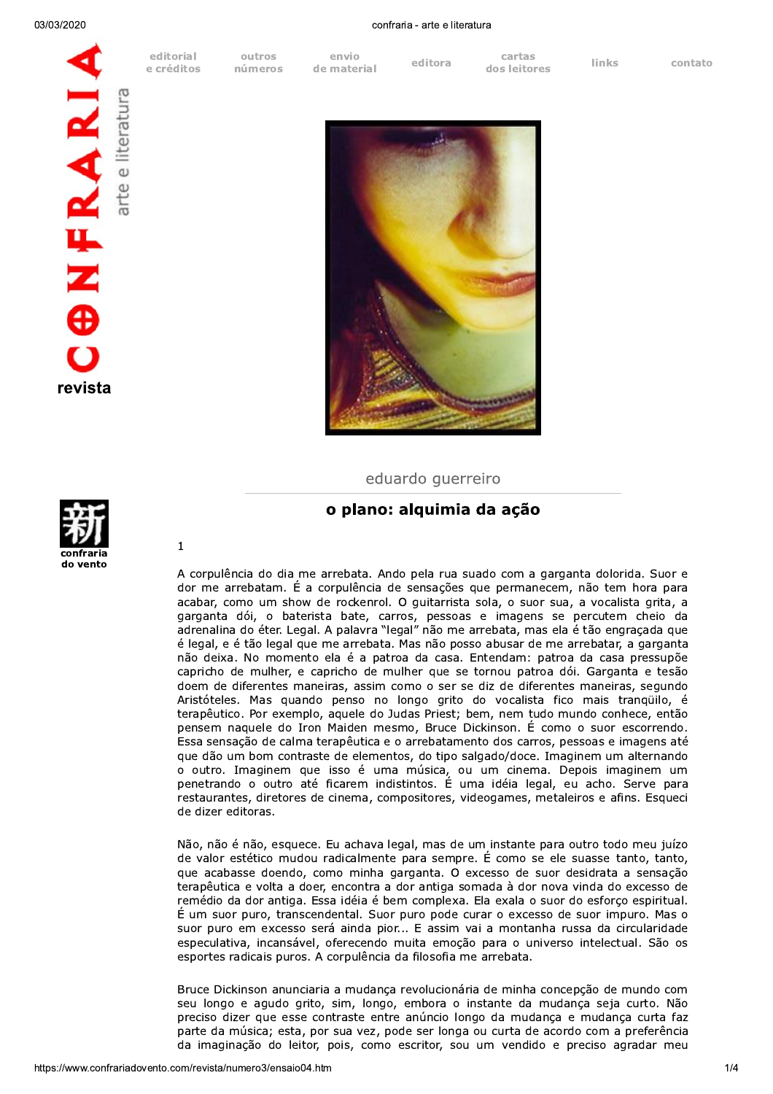editorial e créditos

outros números

envio de material editora

confraria - arte e literatura

cartas dos leitores

**links** 

contato





eduardo querreiro

# o plano: alquimia da ação

A corpulência do dia me arrebata. Ando pela rua suado com a garganta dolorida. Suor e dor me arrebatam. É a corpulência de sensações que permanecem, não tem hora para acabar, como um show de rockenrol. O guitarrista sola, o suor sua, a vocalista grita, a garganta dói, o baterista bate, carros, pessoas e imagens se percutem cheio da adrenalina do éter. Legal. A palavra "legal" não me arrebata, mas ela é tão engraçada que é legal, e é tão legal que me arrebata. Mas não posso abusar de me arrebatar, a garganta não deixa. No momento ela é a patroa da casa. Entendam: patroa da casa pressupõe capricho de mulher, e capricho de mulher que se tornou patroa dói. Garganta e tesão doem de diferentes maneiras, assim como o ser se diz de diferentes maneiras, segundo Aristóteles. Mas quando penso no longo grito do vocalista fico mais tranqüilo, é terapêutico. Por exemplo, aquele do Judas Priest; bem, nem tudo mundo conhece, então pensem naquele do Iron Maiden mesmo, Bruce Dickinson. E como o suor escorrendo. Essa sensação de calma terapêutica e o arrebatamento dos carros, pessoas e imagens até que dão um bom contraste de elementos, do tipo salgado/doce. Imaginem um alternando o outro. Imaginem que isso é uma música, ou um cinema. Depois imaginem um penetrando o outro até ficarem indistintos. É uma idéia legal, eu acho. Serve para restaurantes, diretores de cinema, compositores, videogames, metaleiros e afins. Esqueci de dizer editoras.

Não, não é não, esquece. Eu achava legal, mas de um instante para outro todo meu juízo de valor estético mudou radicalmente para sempre. É como se ele suasse tanto, tanto, que acabasse doendo, como minha garganta. O excesso de suor desidrata a sensação terapêutica e volta a doer, encontra a dor antiga somada à dor nova vinda do excesso de remédio da dor antiga. Essa idéia é bem complexa. Ela exala o suor do esforço espiritual. É um suor puro, transcendental. Suor puro pode curar o excesso de suor impuro. Mas o suor puro em excesso será ainda pior... E assim vai a montanha russa da circularidade especulativa, incansável, oferecendo muita emoção para o universo intelectual. São os esportes radicais puros. A corpulência da filosofia me arrebata.

Bruce Dickinson anunciaria a mudança revolucionária de minha concepção de mundo com seu longo e agudo grito, sim, longo, embora o instante da mudança seja curto. Não preciso dizer que esse contraste entre anúncio longo da mudança e mudança curta faz parte da música; esta, por sua vez, pode ser longa ou curta de acordo com a preferência da imaginação do leitor, pois, como escritor, sou um vendido e preciso agradar meu



 $\mathbf 1$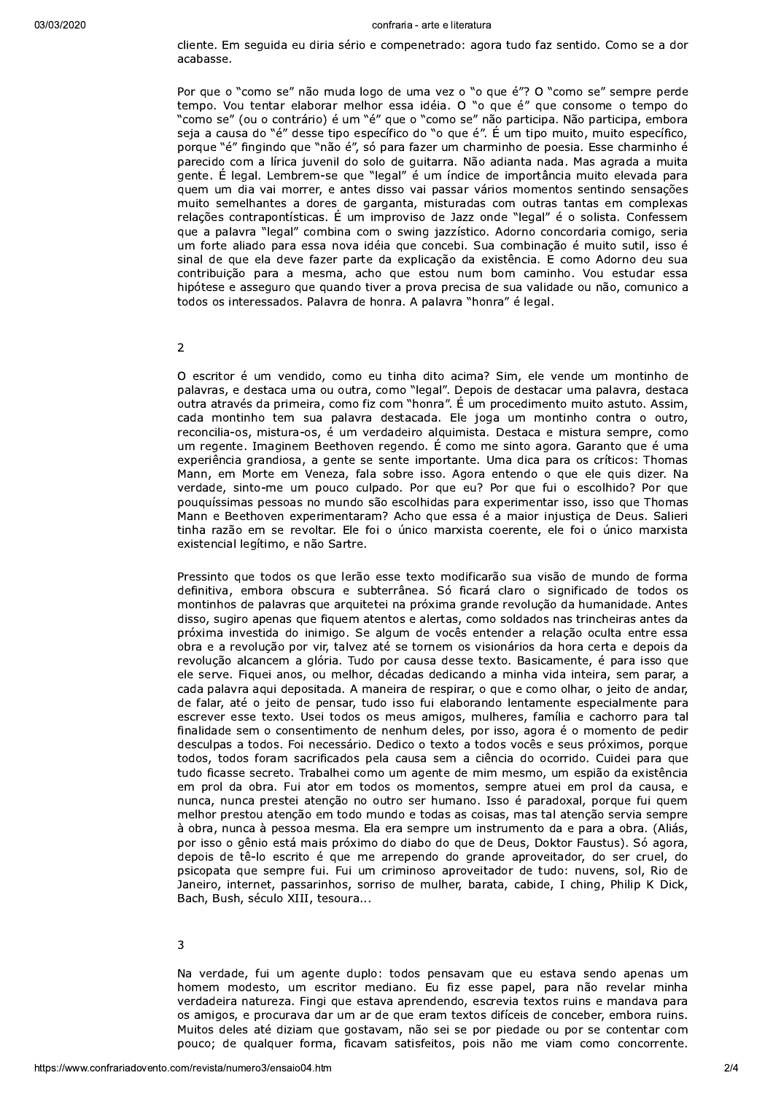cliente. Em seguida eu diria sério e compenetrado: agora tudo faz sentido. Como se a dor acabasse.

Por que o "como se" não muda logo de uma vez o "o que é"? O "como se" sempre perde tempo. Vou tentar elaborar melhor essa idéia. O "o que é" que consome o tempo do "como se" (ou o contrário) é um "é" que o "como se" não participa. Não participa, embora seja a causa do "é" desse tipo específico do "o que é". É um tipo muito, muito específico, porque "é" fingindo que "não é", só para fazer um charminho de poesia. Esse charminho é parecido com a lírica juvenil do solo de guitarra. Não adianta nada. Mas agrada a muita gente. É legal. Lembrem-se que "legal" é um índice de importância muito elevada para quem um dia vai morrer, e antes disso vai passar vários momentos sentindo sensações muito semelhantes a dores de garganta, misturadas com outras tantas em complexas relações contrapontísticas. É um improviso de Jazz onde "legal" é o solista. Confessem que a palavra "legal" combina com o swing jazzístico. Adorno concordaria comigo, seria um forte aliado para essa nova idéia que concebi. Sua combinação é muito sutil, isso é sinal de que ela deve fazer parte da explicação da existência. E como Adorno deu sua contribuição para a mesma, acho que estou num bom caminho. Vou estudar essa hipótese e asseguro que quando tiver a prova precisa de sua validade ou não, comunico a todos os interessados. Palavra de honra. A palavra "honra" é legal.

 $\overline{2}$ 

O escritor é um vendido, como eu tinha dito acima? Sim, ele vende um montinho de palavras, e destaca uma ou outra, como "legal". Depois de destacar uma palavra, destaca outra através da primeira, como fiz com "honra". É um procedimento muito astuto. Assim, cada montinho tem sua palavra destacada. Ele joga um montinho contra o outro, reconcilia-os, mistura-os, é um verdadeiro alquimista. Destaca e mistura sempre, como um regente. Imaginem Beethoven regendo. É como me sinto agora. Garanto que é uma experiência grandiosa, a gente se sente importante. Uma dica para os críticos: Thomas Mann, em Morte em Veneza, fala sobre isso. Agora entendo o que ele quis dizer. Na verdade, sinto-me um pouco culpado. Por que eu? Por que fui o escolhido? Por que pouquíssimas pessoas no mundo são escolhidas para experimentar isso, isso que Thomas Mann e Beethoven experimentaram? Acho que essa é a maior injustiça de Deus. Salieri tinha razão em se revoltar. Ele foi o único marxista coerente, ele foi o único marxista existencial legítimo, e não Sartre.

Pressinto que todos os que lerão esse texto modificarão sua visão de mundo de forma definitiva, embora obscura e subterrânea. Só ficará claro o significado de todos os montinhos de palavras que arquitetei na próxima grande revolução da humanidade. Antes disso, sugiro apenas que figuem atentos e alertas, como soldados nas trincheiras antes da próxima investida do inimigo. Se algum de vocês entender a relação oculta entre essa obra e a revolução por vir, talvez até se tornem os visionários da hora certa e depois da revolução alcancem a glória. Tudo por causa desse texto. Basicamente, é para isso que ele serve. Figuei anos, ou melhor, décadas dedicando a minha vida inteira, sem parar, a cada palavra aqui depositada. A maneira de respirar, o que e como olhar, o jeito de andar, de falar, até o jeito de pensar, tudo isso fui elaborando lentamente especialmente para escrever esse texto. Usei todos os meus amigos, mulheres, família e cachorro para tal finalidade sem o consentimento de nenhum deles, por isso, agora é o momento de pedir desculpas a todos. Foi necessário. Dedico o texto a todos vocês e seus próximos, porque todos, todos foram sacrificados pela causa sem a ciência do ocorrido. Cuidei para que tudo ficasse secreto. Trabalhei como um agente de mim mesmo, um espião da existência em prol da obra. Fui ator em todos os momentos, sempre atuei em prol da causa, e nunca, nunca prestei atenção no outro ser humano. Isso é paradoxal, porque fui quem melhor prestou atenção em todo mundo e todas as coisas, mas tal atenção servia sempre à obra, nunca à pessoa mesma. Ela era sempre um instrumento da e para a obra. (Aliás, por isso o gênio está mais próximo do diabo do que de Deus, Doktor Faustus). Só agora, depois de tê-lo escrito é que me arrependo do grande aproveitador, do ser cruel, do psicopata que sempre fui. Fui um criminoso aproveitador de tudo: nuvens, sol, Rio de Janeiro, internet, passarinhos, sorriso de mulher, barata, cabide, I ching, Philip K Dick, Bach, Bush, século XIII, tesoura...

 $\overline{3}$ 

Na verdade, fui um agente duplo: todos pensavam que eu estava sendo apenas um homem modesto, um escritor mediano. Eu fiz esse papel, para não revelar minha verdadeira natureza. Fingi que estava aprendendo, escrevia textos ruins e mandava para os amigos, e procurava dar um ar de que eram textos difíceis de conceber, embora ruins. Muitos deles até diziam que gostavam, não sei se por piedade ou por se contentar com pouco; de qualquer forma, ficavam satisfeitos, pois não me viam como concorrente.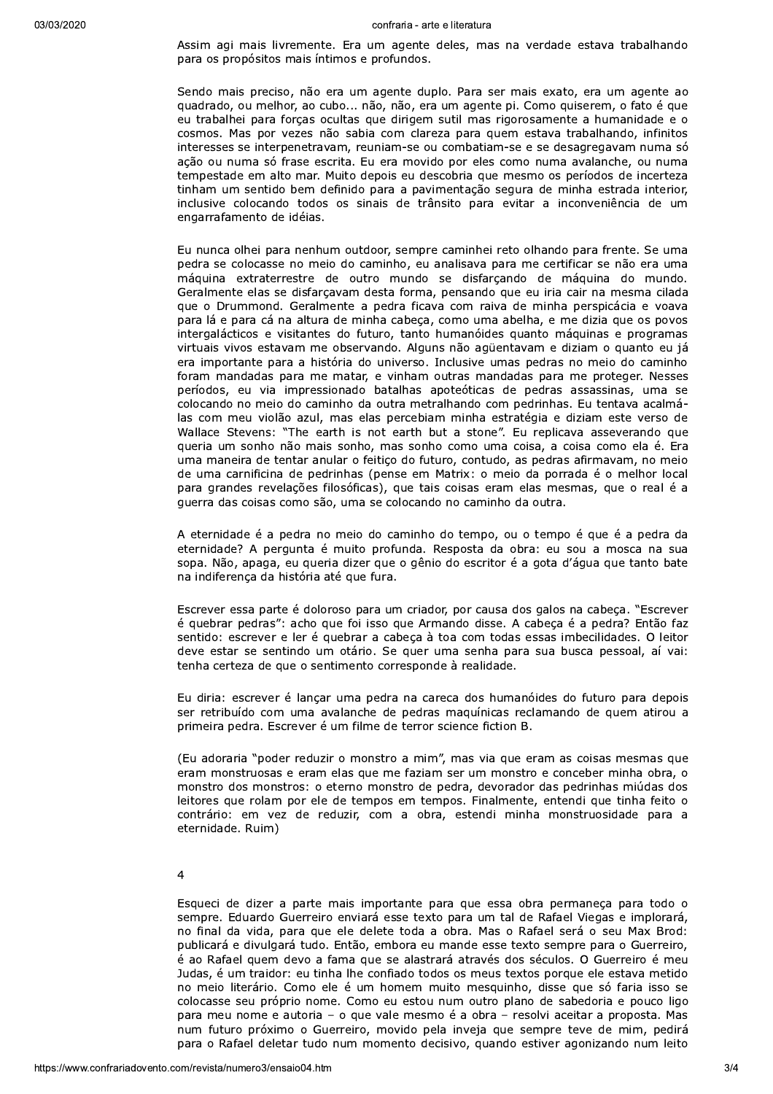Assim agi mais livremente. Era um agente deles, mas na verdade estava trabalhando para os propósitos mais íntimos e profundos.

Sendo mais preciso, não era um agente duplo. Para ser mais exato, era um agente ao quadrado, ou melhor, ao cubo... não, não, era um agente pi. Como quiserem, o fato é que eu trabalhei para forças ocultas que dirigem sutil mas rigorosamente a humanidade e o cosmos. Mas por vezes não sabia com clareza para quem estava trabalhando, infinitos interesses se interpenetravam, reuniam-se ou combatiam-se e se desagregavam numa só ação ou numa só frase escrita. Eu era movido por eles como numa avalanche, ou numa tempestade em alto mar. Muito depois eu descobria que mesmo os períodos de incerteza tinham um sentido bem definido para a pavimentação segura de minha estrada interior, inclusive colocando todos os sinais de trânsito para evitar a inconveniência de um engarrafamento de idéias.

Eu nunca olhei para nenhum outdoor, sempre caminhei reto olhando para frente. Se uma pedra se colocasse no meio do caminho, eu analisava para me certificar se não era uma máquina extraterrestre de outro mundo se disfarçando de máquina do mundo. Geralmente elas se disfarçavam desta forma, pensando que eu iria cair na mesma cilada que o Drummond. Geralmente a pedra ficava com raiva de minha perspicácia e voava para lá e para cá na altura de minha cabeça, como uma abelha, e me dizia que os povos intergalácticos e visitantes do futuro, tanto humanóides quanto máquinas e programas virtuais vivos estavam me observando. Alguns não agüentavam e diziam o quanto eu já era importante para a história do universo. Inclusive umas pedras no meio do caminho foram mandadas para me matar, e vinham outras mandadas para me proteger. Nesses períodos, eu via impressionado batalhas apoteóticas de pedras assassinas, uma se colocando no meio do caminho da outra metralhando com pedrinhas. Eu tentava acalmálas com meu violão azul, mas elas percebiam minha estratégia e diziam este verso de Wallace Stevens: "The earth is not earth but a stone". Eu replicava asseverando que queria um sonho não mais sonho, mas sonho como uma coisa, a coisa como ela é. Era uma maneira de tentar anular o feitiço do futuro, contudo, as pedras afirmavam, no meio de uma carnificina de pedrinhas (pense em Matrix: o meio da porrada é o melhor local para grandes revelações filosóficas), que tais coisas eram elas mesmas, que o real é a guerra das coisas como são, uma se colocando no caminho da outra.

A eternidade é a pedra no meio do caminho do tempo, ou o tempo é que é a pedra da eternidade? A perqunta é muito profunda. Resposta da obra: eu sou a mosca na sua sopa. Não, apaga, eu queria dizer que o gênio do escritor é a gota d'água que tanto bate na indiferença da história até que fura.

Escrever essa parte é doloroso para um criador, por causa dos galos na cabeça. "Escrever é quebrar pedras": acho que foi isso que Armando disse. A cabeça é a pedra? Então faz sentido: escrever e ler é quebrar a cabeça à toa com todas essas imbecilidades. O leitor deve estar se sentindo um otário. Se quer uma senha para sua busca pessoal, aí vai: tenha certeza de que o sentimento corresponde à realidade.

Eu diria: escrever é lançar uma pedra na careca dos humanóides do futuro para depois ser retribuído com uma avalanche de pedras maquínicas reclamando de quem atirou a primeira pedra. Escrever é um filme de terror science fiction B.

(Eu adoraria "poder reduzir o monstro a mim", mas via que eram as coisas mesmas que eram monstruosas e eram elas que me faziam ser um monstro e conceber minha obra, o monstro dos monstros: o eterno monstro de pedra, devorador das pedrinhas miúdas dos leitores que rolam por ele de tempos em tempos. Finalmente, entendi que tinha feito o contrário: em vez de reduzir, com a obra, estendi minha monstruosidade para a eternidade. Ruim)

### $\overline{4}$

Esqueci de dizer a parte mais importante para que essa obra permaneça para todo o sempre. Eduardo Guerreiro enviará esse texto para um tal de Rafael Viegas e implorará, no final da vida, para que ele delete toda a obra. Mas o Rafael será o seu Max Brod: publicará e divulgará tudo. Então, embora eu mande esse texto sempre para o Guerreiro, é ao Rafael quem devo a fama que se alastrará através dos séculos. O Guerreiro é meu Judas, é um traidor: eu tinha lhe confiado todos os meus textos porque ele estava metido no meio literário. Como ele é um homem muito mesquinho, disse que só faria isso se colocasse seu próprio nome. Como eu estou num outro plano de sabedoria e pouco ligo para meu nome e autoria - o que vale mesmo é a obra - resolvi aceitar a proposta. Mas num futuro próximo o Guerreiro, movido pela inveja que sempre teve de mim, pedirá para o Rafael deletar tudo num momento decisivo, quando estiver agonizando num leito